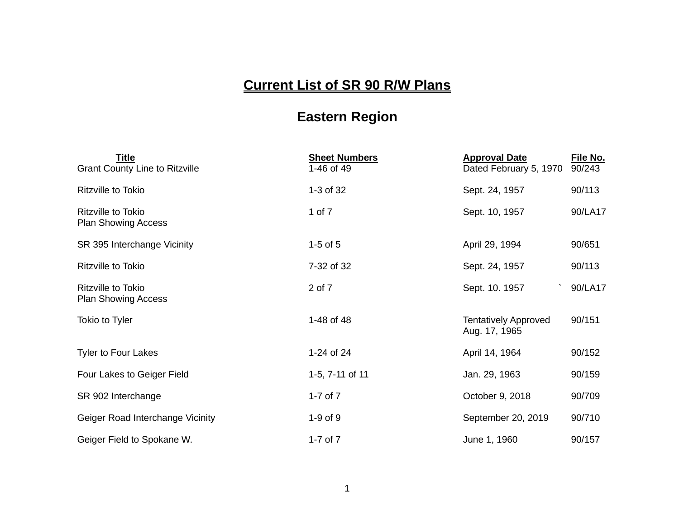## **Current List of SR 90 R/W Plans**

## **Eastern Region**

| <b>Title</b><br><b>Grant County Line to Ritzville</b>   | <b>Sheet Numbers</b><br>1-46 of 49 | <b>Approval Date</b><br>Dated February 5, 1970 | File No.<br>90/243 |
|---------------------------------------------------------|------------------------------------|------------------------------------------------|--------------------|
| <b>Ritzville to Tokio</b>                               | 1-3 of 32                          | Sept. 24, 1957                                 | 90/113             |
| <b>Ritzville to Tokio</b><br><b>Plan Showing Access</b> | 1 of 7                             | Sept. 10, 1957                                 | 90/LA17            |
| SR 395 Interchange Vicinity                             | $1-5$ of $5$                       | April 29, 1994                                 | 90/651             |
| <b>Ritzville to Tokio</b>                               | 7-32 of 32                         | Sept. 24, 1957                                 | 90/113             |
| Ritzville to Tokio<br><b>Plan Showing Access</b>        | 2 of 7                             | Sept. 10. 1957                                 | 90/LA17            |
| <b>Tokio to Tyler</b>                                   | 1-48 of 48                         | <b>Tentatively Approved</b><br>Aug. 17, 1965   | 90/151             |
| <b>Tyler to Four Lakes</b>                              | 1-24 of 24                         | April 14, 1964                                 | 90/152             |
| Four Lakes to Geiger Field                              | 1-5, 7-11 of 11                    | Jan. 29, 1963                                  | 90/159             |
| SR 902 Interchange                                      | 1-7 of $7$                         | October 9, 2018                                | 90/709             |
| Geiger Road Interchange Vicinity                        | $1-9$ of $9$                       | September 20, 2019                             | 90/710             |
| Geiger Field to Spokane W.                              | 1-7 of $7$                         | June 1, 1960                                   | 90/157             |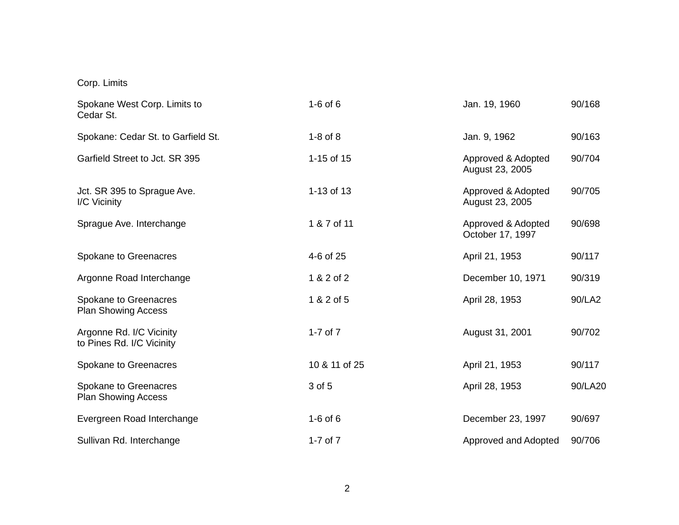## Corp. Limits

| Spokane West Corp. Limits to<br>Cedar St.             | $1-6$ of $6$  | Jan. 19, 1960                          | 90/168  |
|-------------------------------------------------------|---------------|----------------------------------------|---------|
| Spokane: Cedar St. to Garfield St.                    | $1-8$ of $8$  | Jan. 9, 1962                           | 90/163  |
| Garfield Street to Jct. SR 395                        | 1-15 of 15    | Approved & Adopted<br>August 23, 2005  | 90/704  |
| Jct. SR 395 to Sprague Ave.<br>I/C Vicinity           | 1-13 of 13    | Approved & Adopted<br>August 23, 2005  | 90/705  |
| Sprague Ave. Interchange                              | 1 & 7 of 11   | Approved & Adopted<br>October 17, 1997 | 90/698  |
| Spokane to Greenacres                                 | 4-6 of 25     | April 21, 1953                         | 90/117  |
| Argonne Road Interchange                              | 1 & 2 of 2    | December 10, 1971                      | 90/319  |
| Spokane to Greenacres<br><b>Plan Showing Access</b>   | 1 & 2 of 5    | April 28, 1953                         | 90/LA2  |
| Argonne Rd. I/C Vicinity<br>to Pines Rd. I/C Vicinity | 1-7 of $7$    | August 31, 2001                        | 90/702  |
| Spokane to Greenacres                                 | 10 & 11 of 25 | April 21, 1953                         | 90/117  |
| Spokane to Greenacres<br><b>Plan Showing Access</b>   | 3 of 5        | April 28, 1953                         | 90/LA20 |
| Evergreen Road Interchange                            | $1-6$ of $6$  | December 23, 1997                      | 90/697  |
| Sullivan Rd. Interchange                              | 1-7 of $7$    | Approved and Adopted                   | 90/706  |